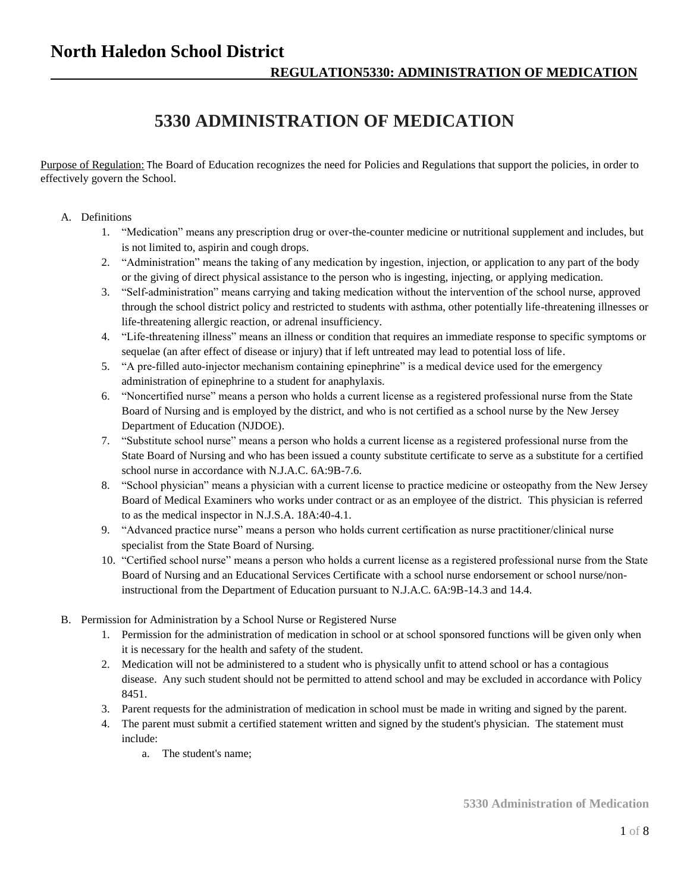## **North Haledon School District**

# **5330 ADMINISTRATION OF MEDICATION**

Purpose of Regulation: The Board of Education recognizes the need for Policies and Regulations that support the policies, in order to effectively govern the School.

- A. Definitions
	- 1. "Medication" means any prescription drug or over-the-counter medicine or nutritional supplement and includes, but is not limited to, aspirin and cough drops.
	- 2. "Administration" means the taking of any medication by ingestion, injection, or application to any part of the body or the giving of direct physical assistance to the person who is ingesting, injecting, or applying medication.
	- 3. "Self-administration" means carrying and taking medication without the intervention of the school nurse, approved through the school district policy and restricted to students with asthma, other potentially life-threatening illnesses or life-threatening allergic reaction, or adrenal insufficiency.
	- 4. "Life-threatening illness" means an illness or condition that requires an immediate response to specific symptoms or sequelae (an after effect of disease or injury) that if left untreated may lead to potential loss of life.
	- 5. "A pre-filled auto-injector mechanism containing epinephrine" is a medical device used for the emergency administration of epinephrine to a student for anaphylaxis.
	- 6. "Noncertified nurse" means a person who holds a current license as a registered professional nurse from the State Board of Nursing and is employed by the district, and who is not certified as a school nurse by the New Jersey Department of Education (NJDOE).
	- 7. "Substitute school nurse" means a person who holds a current license as a registered professional nurse from the State Board of Nursing and who has been issued a county substitute certificate to serve as a substitute for a certified school nurse in accordance with N.J.A.C. 6A:9B-7.6.
	- 8. "School physician" means a physician with a current license to practice medicine or osteopathy from the New Jersey Board of Medical Examiners who works under contract or as an employee of the district. This physician is referred to as the medical inspector in N.J.S.A. 18A:40-4.1.
	- 9. "Advanced practice nurse" means a person who holds current certification as nurse practitioner/clinical nurse specialist from the State Board of Nursing.
	- 10. "Certified school nurse" means a person who holds a current license as a registered professional nurse from the State Board of Nursing and an Educational Services Certificate with a school nurse endorsement or school nurse/noninstructional from the Department of Education pursuant to N.J.A.C. 6A:9B-14.3 and 14.4.
- B. Permission for Administration by a School Nurse or Registered Nurse
	- 1. Permission for the administration of medication in school or at school sponsored functions will be given only when it is necessary for the health and safety of the student.
	- 2. Medication will not be administered to a student who is physically unfit to attend school or has a contagious disease. Any such student should not be permitted to attend school and may be excluded in accordance with Policy 8451.
	- 3. Parent requests for the administration of medication in school must be made in writing and signed by the parent.
	- 4. The parent must submit a certified statement written and signed by the student's physician. The statement must include:
		- a. The student's name;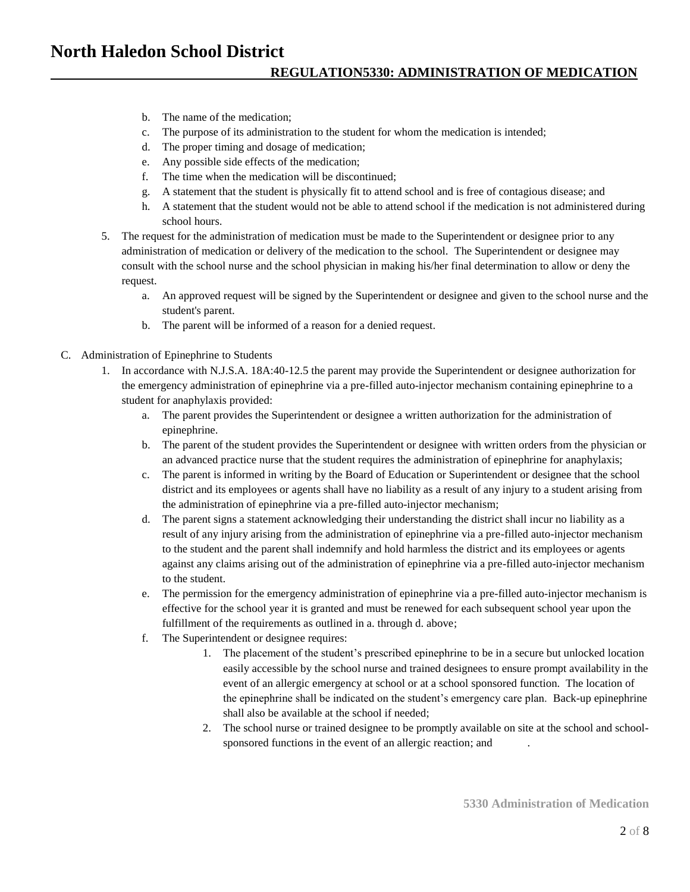## **North Haledon School District**

#### **REGULATION5330: ADMINISTRATION OF MEDICATION**

- b. The name of the medication;
- c. The purpose of its administration to the student for whom the medication is intended;
- d. The proper timing and dosage of medication;
- e. Any possible side effects of the medication;
- f. The time when the medication will be discontinued;
- g. A statement that the student is physically fit to attend school and is free of contagious disease; and
- h. A statement that the student would not be able to attend school if the medication is not administered during school hours.
- 5. The request for the administration of medication must be made to the Superintendent or designee prior to any administration of medication or delivery of the medication to the school. The Superintendent or designee may consult with the school nurse and the school physician in making his/her final determination to allow or deny the request.
	- a. An approved request will be signed by the Superintendent or designee and given to the school nurse and the student's parent.
	- b. The parent will be informed of a reason for a denied request.
- C. Administration of Epinephrine to Students
	- 1. In accordance with N.J.S.A. 18A:40-12.5 the parent may provide the Superintendent or designee authorization for the emergency administration of epinephrine via a pre-filled auto-injector mechanism containing epinephrine to a student for anaphylaxis provided:
		- a. The parent provides the Superintendent or designee a written authorization for the administration of epinephrine.
		- b. The parent of the student provides the Superintendent or designee with written orders from the physician or an advanced practice nurse that the student requires the administration of epinephrine for anaphylaxis;
		- c. The parent is informed in writing by the Board of Education or Superintendent or designee that the school district and its employees or agents shall have no liability as a result of any injury to a student arising from the administration of epinephrine via a pre-filled auto-injector mechanism;
		- d. The parent signs a statement acknowledging their understanding the district shall incur no liability as a result of any injury arising from the administration of epinephrine via a pre-filled auto-injector mechanism to the student and the parent shall indemnify and hold harmless the district and its employees or agents against any claims arising out of the administration of epinephrine via a pre-filled auto-injector mechanism to the student.
		- e. The permission for the emergency administration of epinephrine via a pre-filled auto-injector mechanism is effective for the school year it is granted and must be renewed for each subsequent school year upon the fulfillment of the requirements as outlined in a. through d. above;
		- f. The Superintendent or designee requires:
			- 1. The placement of the student's prescribed epinephrine to be in a secure but unlocked location easily accessible by the school nurse and trained designees to ensure prompt availability in the event of an allergic emergency at school or at a school sponsored function. The location of the epinephrine shall be indicated on the student's emergency care plan. Back-up epinephrine shall also be available at the school if needed;
			- 2. The school nurse or trained designee to be promptly available on site at the school and schoolsponsored functions in the event of an allergic reaction; and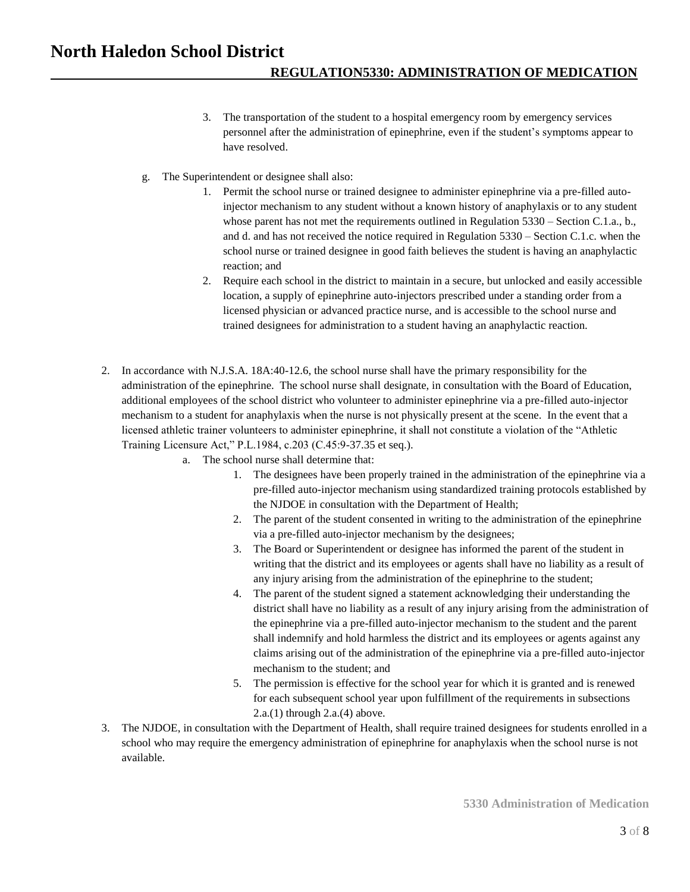### **North Haledon School District REGULATION5330: ADMINISTRATION OF MEDICATION**

- 3. The transportation of the student to a hospital emergency room by emergency services personnel after the administration of epinephrine, even if the student's symptoms appear to have resolved.
- g. The Superintendent or designee shall also:
	- 1. Permit the school nurse or trained designee to administer epinephrine via a pre-filled autoinjector mechanism to any student without a known history of anaphylaxis or to any student whose parent has not met the requirements outlined in Regulation 5330 – Section C.1.a., b., and d. and has not received the notice required in Regulation 5330 – Section C.1.c. when the school nurse or trained designee in good faith believes the student is having an anaphylactic reaction; and
	- 2. Require each school in the district to maintain in a secure, but unlocked and easily accessible location, a supply of epinephrine auto-injectors prescribed under a standing order from a licensed physician or advanced practice nurse, and is accessible to the school nurse and trained designees for administration to a student having an anaphylactic reaction.
- 2. In accordance with N.J.S.A. 18A:40-12.6, the school nurse shall have the primary responsibility for the administration of the epinephrine. The school nurse shall designate, in consultation with the Board of Education, additional employees of the school district who volunteer to administer epinephrine via a pre-filled auto-injector mechanism to a student for anaphylaxis when the nurse is not physically present at the scene. In the event that a licensed athletic trainer volunteers to administer epinephrine, it shall not constitute a violation of the "Athletic Training Licensure Act," P.L.1984, c.203 (C.45:9-37.35 et seq.).
	- a. The school nurse shall determine that:
		- 1. The designees have been properly trained in the administration of the epinephrine via a pre-filled auto-injector mechanism using standardized training protocols established by the NJDOE in consultation with the Department of Health;
		- 2. The parent of the student consented in writing to the administration of the epinephrine via a pre-filled auto-injector mechanism by the designees;
		- 3. The Board or Superintendent or designee has informed the parent of the student in writing that the district and its employees or agents shall have no liability as a result of any injury arising from the administration of the epinephrine to the student;
		- 4. The parent of the student signed a statement acknowledging their understanding the district shall have no liability as a result of any injury arising from the administration of the epinephrine via a pre-filled auto-injector mechanism to the student and the parent shall indemnify and hold harmless the district and its employees or agents against any claims arising out of the administration of the epinephrine via a pre-filled auto-injector mechanism to the student; and
		- 5. The permission is effective for the school year for which it is granted and is renewed for each subsequent school year upon fulfillment of the requirements in subsections 2.a.(1) through 2.a.(4) above.
- 3. The NJDOE, in consultation with the Department of Health, shall require trained designees for students enrolled in a school who may require the emergency administration of epinephrine for anaphylaxis when the school nurse is not available.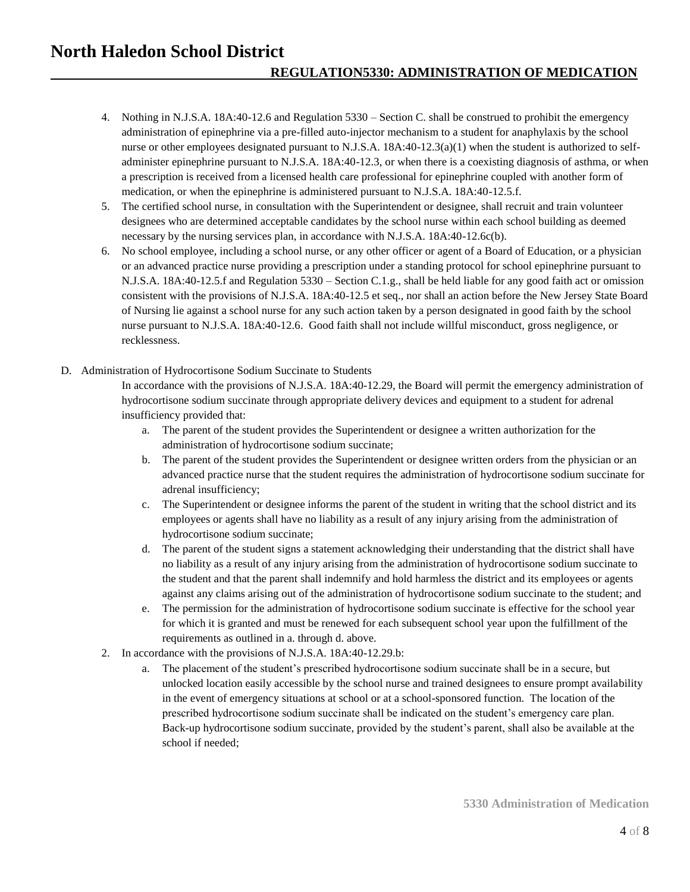### **North Haledon School District REGULATION5330: ADMINISTRATION OF MEDICATION**

- 4. Nothing in N.J.S.A. 18A:40-12.6 and Regulation 5330 Section C. shall be construed to prohibit the emergency administration of epinephrine via a pre-filled auto-injector mechanism to a student for anaphylaxis by the school nurse or other employees designated pursuant to N.J.S.A. 18A:40-12.3(a)(1) when the student is authorized to selfadminister epinephrine pursuant to N.J.S.A. 18A:40-12.3, or when there is a coexisting diagnosis of asthma, or when a prescription is received from a licensed health care professional for epinephrine coupled with another form of medication, or when the epinephrine is administered pursuant to N.J.S.A. 18A:40-12.5.f.
- 5. The certified school nurse, in consultation with the Superintendent or designee, shall recruit and train volunteer designees who are determined acceptable candidates by the school nurse within each school building as deemed necessary by the nursing services plan, in accordance with N.J.S.A. 18A:40-12.6c(b).
- 6. No school employee, including a school nurse, or any other officer or agent of a Board of Education, or a physician or an advanced practice nurse providing a prescription under a standing protocol for school epinephrine pursuant to N.J.S.A. 18A:40-12.5.f and Regulation 5330 – Section C.1.g., shall be held liable for any good faith act or omission consistent with the provisions of N.J.S.A. 18A:40-12.5 et seq., nor shall an action before the New Jersey State Board of Nursing lie against a school nurse for any such action taken by a person designated in good faith by the school nurse pursuant to N.J.S.A. 18A:40-12.6. Good faith shall not include willful misconduct, gross negligence, or recklessness.
- D. Administration of Hydrocortisone Sodium Succinate to Students

In accordance with the provisions of N.J.S.A. 18A:40-12.29, the Board will permit the emergency administration of hydrocortisone sodium succinate through appropriate delivery devices and equipment to a student for adrenal insufficiency provided that:

- a. The parent of the student provides the Superintendent or designee a written authorization for the administration of hydrocortisone sodium succinate;
- b. The parent of the student provides the Superintendent or designee written orders from the physician or an advanced practice nurse that the student requires the administration of hydrocortisone sodium succinate for adrenal insufficiency;
- c. The Superintendent or designee informs the parent of the student in writing that the school district and its employees or agents shall have no liability as a result of any injury arising from the administration of hydrocortisone sodium succinate;
- d. The parent of the student signs a statement acknowledging their understanding that the district shall have no liability as a result of any injury arising from the administration of hydrocortisone sodium succinate to the student and that the parent shall indemnify and hold harmless the district and its employees or agents against any claims arising out of the administration of hydrocortisone sodium succinate to the student; and
- e. The permission for the administration of hydrocortisone sodium succinate is effective for the school year for which it is granted and must be renewed for each subsequent school year upon the fulfillment of the requirements as outlined in a. through d. above.
- 2. In accordance with the provisions of N.J.S.A. 18A:40-12.29.b:
	- a. The placement of the student's prescribed hydrocortisone sodium succinate shall be in a secure, but unlocked location easily accessible by the school nurse and trained designees to ensure prompt availability in the event of emergency situations at school or at a school-sponsored function. The location of the prescribed hydrocortisone sodium succinate shall be indicated on the student's emergency care plan. Back-up hydrocortisone sodium succinate, provided by the student's parent, shall also be available at the school if needed;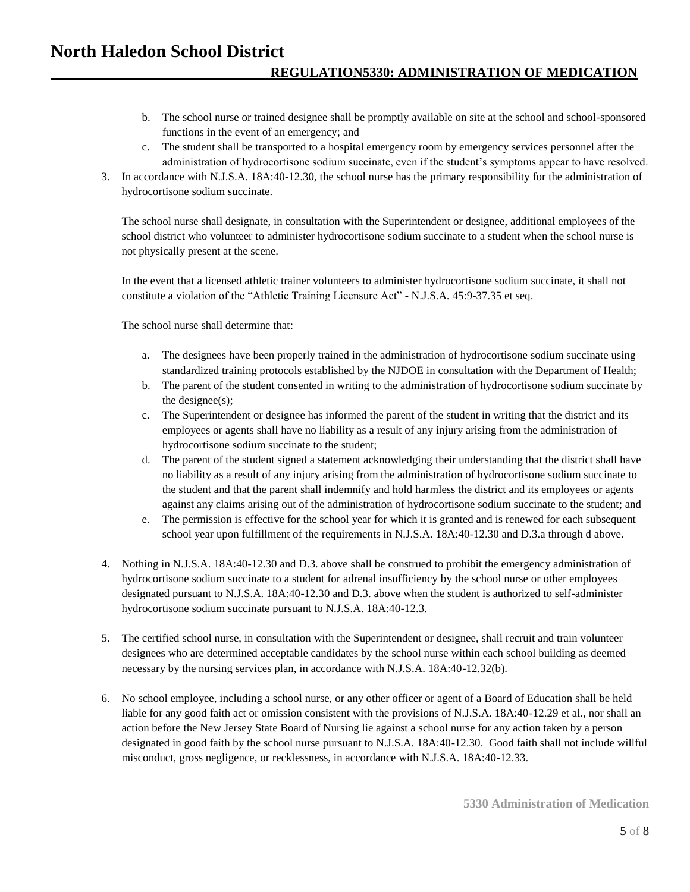### **North Haledon School District REGULATION5330: ADMINISTRATION OF MEDICATION**

- b. The school nurse or trained designee shall be promptly available on site at the school and school-sponsored functions in the event of an emergency; and
- c. The student shall be transported to a hospital emergency room by emergency services personnel after the administration of hydrocortisone sodium succinate, even if the student's symptoms appear to have resolved.
- 3. In accordance with N.J.S.A. 18A:40-12.30, the school nurse has the primary responsibility for the administration of hydrocortisone sodium succinate.

The school nurse shall designate, in consultation with the Superintendent or designee, additional employees of the school district who volunteer to administer hydrocortisone sodium succinate to a student when the school nurse is not physically present at the scene.

In the event that a licensed athletic trainer volunteers to administer hydrocortisone sodium succinate, it shall not constitute a violation of the "Athletic Training Licensure Act" - N.J.S.A. 45:9-37.35 et seq.

The school nurse shall determine that:

- a. The designees have been properly trained in the administration of hydrocortisone sodium succinate using standardized training protocols established by the NJDOE in consultation with the Department of Health;
- b. The parent of the student consented in writing to the administration of hydrocortisone sodium succinate by the designee(s);
- c. The Superintendent or designee has informed the parent of the student in writing that the district and its employees or agents shall have no liability as a result of any injury arising from the administration of hydrocortisone sodium succinate to the student;
- d. The parent of the student signed a statement acknowledging their understanding that the district shall have no liability as a result of any injury arising from the administration of hydrocortisone sodium succinate to the student and that the parent shall indemnify and hold harmless the district and its employees or agents against any claims arising out of the administration of hydrocortisone sodium succinate to the student; and
- e. The permission is effective for the school year for which it is granted and is renewed for each subsequent school year upon fulfillment of the requirements in N.J.S.A. 18A:40-12.30 and D.3.a through d above.
- 4. Nothing in N.J.S.A. 18A:40-12.30 and D.3. above shall be construed to prohibit the emergency administration of hydrocortisone sodium succinate to a student for adrenal insufficiency by the school nurse or other employees designated pursuant to N.J.S.A. 18A:40-12.30 and D.3. above when the student is authorized to self-administer hydrocortisone sodium succinate pursuant to N.J.S.A. 18A:40-12.3.
- 5. The certified school nurse, in consultation with the Superintendent or designee, shall recruit and train volunteer designees who are determined acceptable candidates by the school nurse within each school building as deemed necessary by the nursing services plan, in accordance with N.J.S.A. 18A:40-12.32(b).
- 6. No school employee, including a school nurse, or any other officer or agent of a Board of Education shall be held liable for any good faith act or omission consistent with the provisions of N.J.S.A. 18A:40-12.29 et al., nor shall an action before the New Jersey State Board of Nursing lie against a school nurse for any action taken by a person designated in good faith by the school nurse pursuant to N.J.S.A. 18A:40-12.30. Good faith shall not include willful misconduct, gross negligence, or recklessness, in accordance with N.J.S.A. 18A:40-12.33.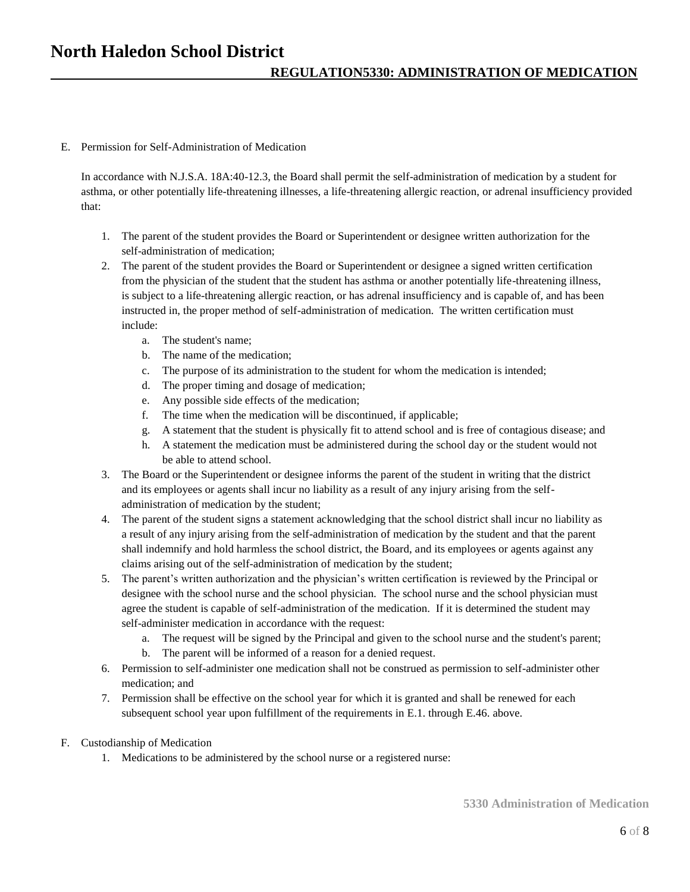E. Permission for Self-Administration of Medication

In accordance with N.J.S.A. 18A:40-12.3, the Board shall permit the self-administration of medication by a student for asthma, or other potentially life-threatening illnesses, a life-threatening allergic reaction, or adrenal insufficiency provided that:

- 1. The parent of the student provides the Board or Superintendent or designee written authorization for the self-administration of medication;
- 2. The parent of the student provides the Board or Superintendent or designee a signed written certification from the physician of the student that the student has asthma or another potentially life-threatening illness, is subject to a life-threatening allergic reaction, or has adrenal insufficiency and is capable of, and has been instructed in, the proper method of self-administration of medication. The written certification must include:
	- a. The student's name;
	- b. The name of the medication;
	- c. The purpose of its administration to the student for whom the medication is intended;
	- d. The proper timing and dosage of medication;
	- e. Any possible side effects of the medication;
	- f. The time when the medication will be discontinued, if applicable;
	- g. A statement that the student is physically fit to attend school and is free of contagious disease; and
	- h. A statement the medication must be administered during the school day or the student would not be able to attend school.
- 3. The Board or the Superintendent or designee informs the parent of the student in writing that the district and its employees or agents shall incur no liability as a result of any injury arising from the selfadministration of medication by the student;
- 4. The parent of the student signs a statement acknowledging that the school district shall incur no liability as a result of any injury arising from the self-administration of medication by the student and that the parent shall indemnify and hold harmless the school district, the Board, and its employees or agents against any claims arising out of the self-administration of medication by the student;
- 5. The parent's written authorization and the physician's written certification is reviewed by the Principal or designee with the school nurse and the school physician. The school nurse and the school physician must agree the student is capable of self-administration of the medication. If it is determined the student may self-administer medication in accordance with the request:
	- a. The request will be signed by the Principal and given to the school nurse and the student's parent;
	- b. The parent will be informed of a reason for a denied request.
- 6. Permission to self-administer one medication shall not be construed as permission to self-administer other medication; and
- 7. Permission shall be effective on the school year for which it is granted and shall be renewed for each subsequent school year upon fulfillment of the requirements in E.1. through E.46. above.
- F. Custodianship of Medication
	- 1. Medications to be administered by the school nurse or a registered nurse: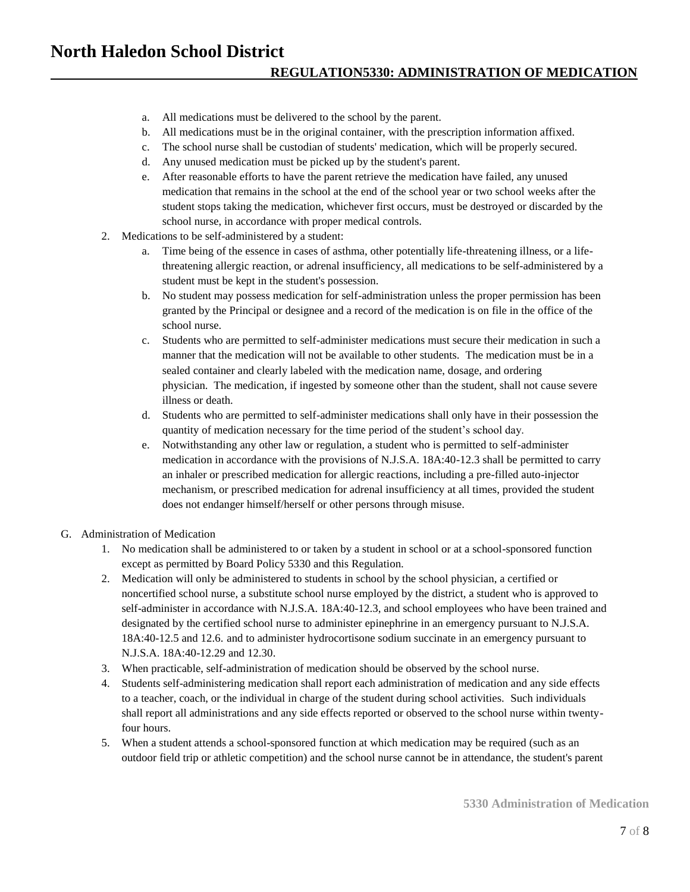- a. All medications must be delivered to the school by the parent.
- b. All medications must be in the original container, with the prescription information affixed.
- c. The school nurse shall be custodian of students' medication, which will be properly secured.
- d. Any unused medication must be picked up by the student's parent.
- e. After reasonable efforts to have the parent retrieve the medication have failed, any unused medication that remains in the school at the end of the school year or two school weeks after the student stops taking the medication, whichever first occurs, must be destroyed or discarded by the school nurse, in accordance with proper medical controls.
- 2. Medications to be self-administered by a student:
	- a. Time being of the essence in cases of asthma, other potentially life-threatening illness, or a lifethreatening allergic reaction, or adrenal insufficiency, all medications to be self-administered by a student must be kept in the student's possession.
	- b. No student may possess medication for self-administration unless the proper permission has been granted by the Principal or designee and a record of the medication is on file in the office of the school nurse.
	- c. Students who are permitted to self-administer medications must secure their medication in such a manner that the medication will not be available to other students. The medication must be in a sealed container and clearly labeled with the medication name, dosage, and ordering physician. The medication, if ingested by someone other than the student, shall not cause severe illness or death.
	- d. Students who are permitted to self-administer medications shall only have in their possession the quantity of medication necessary for the time period of the student's school day.
	- e. Notwithstanding any other law or regulation, a student who is permitted to self-administer medication in accordance with the provisions of N.J.S.A. 18A:40-12.3 shall be permitted to carry an inhaler or prescribed medication for allergic reactions, including a pre-filled auto-injector mechanism, or prescribed medication for adrenal insufficiency at all times, provided the student does not endanger himself/herself or other persons through misuse.
- G. Administration of Medication
	- 1. No medication shall be administered to or taken by a student in school or at a school-sponsored function except as permitted by Board Policy 5330 and this Regulation.
	- 2. Medication will only be administered to students in school by the school physician, a certified or noncertified school nurse, a substitute school nurse employed by the district, a student who is approved to self-administer in accordance with N.J.S.A. 18A:40-12.3, and school employees who have been trained and designated by the certified school nurse to administer epinephrine in an emergency pursuant to N.J.S.A. 18A:40-12.5 and 12.6. and to administer hydrocortisone sodium succinate in an emergency pursuant to N.J.S.A. 18A:40-12.29 and 12.30.
	- 3. When practicable, self-administration of medication should be observed by the school nurse.
	- 4. Students self-administering medication shall report each administration of medication and any side effects to a teacher, coach, or the individual in charge of the student during school activities. Such individuals shall report all administrations and any side effects reported or observed to the school nurse within twentyfour hours.
	- 5. When a student attends a school-sponsored function at which medication may be required (such as an outdoor field trip or athletic competition) and the school nurse cannot be in attendance, the student's parent